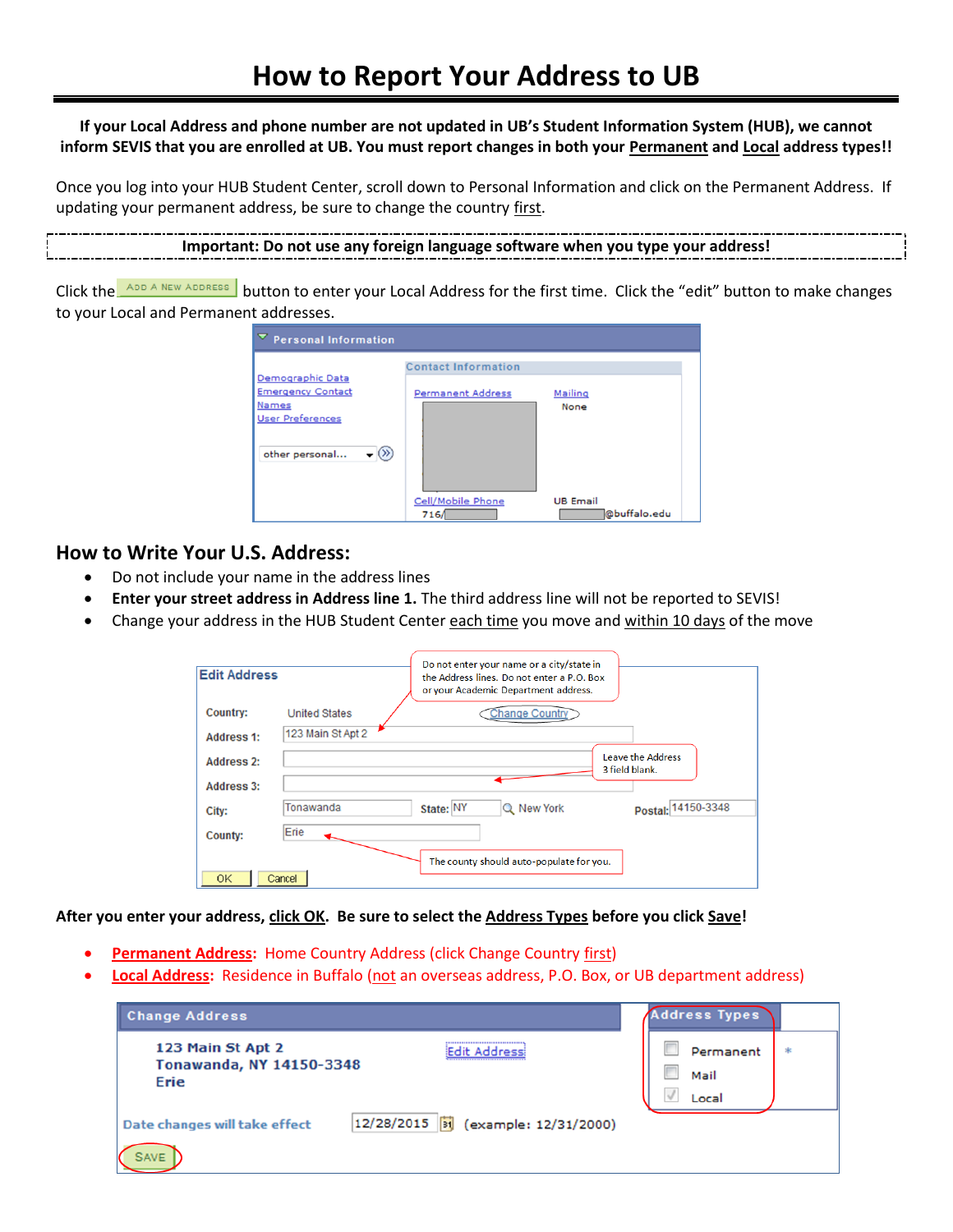## **If your Local Address and phone number are not updated in UB's Student Information System (HUB), we cannot inform SEVIS that you are enrolled at UB. You must report changes in both your Permanent and Local address types!!**

Once you log into your HUB Student Center, scroll down to Personal Information and click on the Permanent Address. If updating your permanent address, be sure to change the country first.

```
Important: Do not use any foreign language software when you type your address!
```
Click the ADD A NEW ADDRESS button to enter your Local Address for the first time. Click the "edit" button to make changes to your Local and Permanent addresses.

| ▽<br><b>Personal Information</b>                                                                                     |                                                        |                                 |  |  |  |
|----------------------------------------------------------------------------------------------------------------------|--------------------------------------------------------|---------------------------------|--|--|--|
| Demographic Data<br><b>Emergency Contact</b><br><b>Names</b><br><b>User Preferences</b><br>$(\gg)$<br>other personal | <b>Contact Information</b><br><b>Permanent Address</b> | Mailing<br>None                 |  |  |  |
|                                                                                                                      | Cell/Mobile Phone<br>716/                              | <b>UB Email</b><br>@buffalo.edu |  |  |  |

## **How to Write Your U.S. Address:**

- Do not include your name in the address lines
- **Enter your street address in Address line 1.** The third address line will not be reported to SEVIS!
- Change your address in the HUB Student Center each time you move and within 10 days of the move

| <b>Edit Address</b>                    | Do not enter your name or a city/state in<br>the Address lines. Do not enter a P.O. Box<br>or your Academic Department address. |
|----------------------------------------|---------------------------------------------------------------------------------------------------------------------------------|
| Country:                               | <b>Change Country</b><br><b>United States</b>                                                                                   |
| <b>Address 1:</b>                      | 123 Main St Apt 2                                                                                                               |
| <b>Address 2:</b><br><b>Address 3:</b> | Leave the Address<br>3 field blank.                                                                                             |
| City:                                  | Tonawanda<br>Postal: 14150-3348<br>State: NY<br>Q New York                                                                      |
| <b>County:</b>                         | Erie                                                                                                                            |
| 0K                                     | The county should auto-populate for you.<br>Cancel                                                                              |

**After you enter your address, click OK. Be sure to select the Address Types before you click Save!**

- **Permanent Address:** Home Country Address (click Change Country first)
- **Local Address:** Residence in Buffalo (not an overseas address, P.O. Box, or UB department address)

| <b>Change Address</b>                                                                      | <b>Address Types</b>                 |
|--------------------------------------------------------------------------------------------|--------------------------------------|
| --------------------------<br>123 Main St Apt 2<br><b>Tonawanda, NY 14150-3348</b><br>Erie | Permanent<br>宋<br>Mail<br>v<br>Local |
| 12/28/2015<br>(example: 12/31/2000)<br>Date changes will take effect<br><b>SAVE</b>        |                                      |